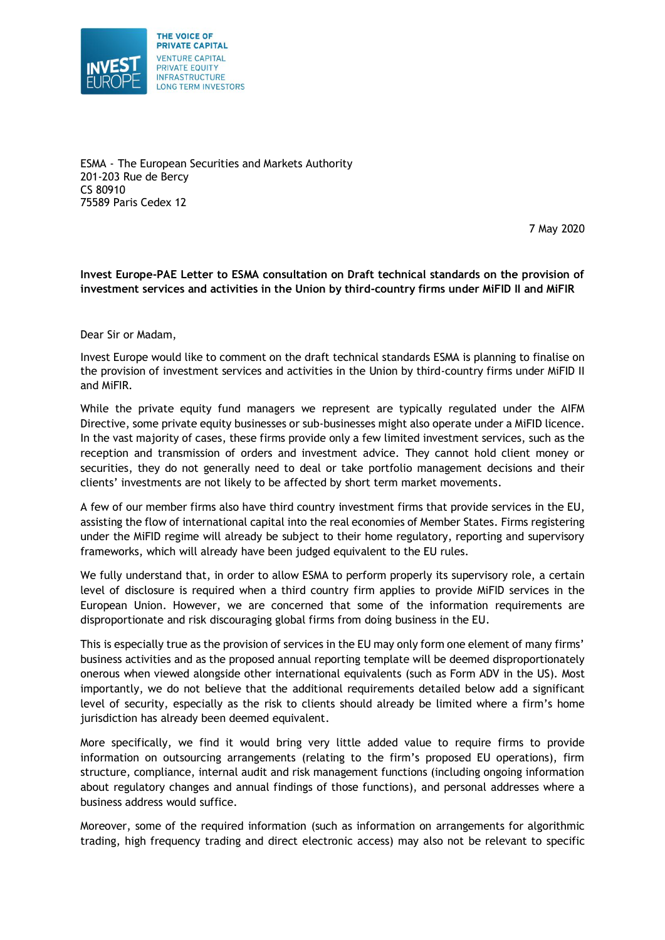

ESMA - The European Securities and Markets Authority 201-203 Rue de Bercy CS 80910 75589 Paris Cedex 12

7 May 2020

## **Invest Europe-PAE Letter to ESMA consultation on Draft technical standards on the provision of investment services and activities in the Union by third-country firms under MiFID II and MiFIR**

Dear Sir or Madam,

Invest Europe would like to comment on the draft technical standards ESMA is planning to finalise on the provision of investment services and activities in the Union by third-country firms under MiFID II and MiFIR.

While the private equity fund managers we represent are typically regulated under the AIFM Directive, some private equity businesses or sub-businesses might also operate under a MiFID licence. In the vast majority of cases, these firms provide only a few limited investment services, such as the reception and transmission of orders and investment advice. They cannot hold client money or securities, they do not generally need to deal or take portfolio management decisions and their clients' investments are not likely to be affected by short term market movements.

A few of our member firms also have third country investment firms that provide services in the EU, assisting the flow of international capital into the real economies of Member States. Firms registering under the MiFID regime will already be subject to their home regulatory, reporting and supervisory frameworks, which will already have been judged equivalent to the EU rules.

We fully understand that, in order to allow ESMA to perform properly its supervisory role, a certain level of disclosure is required when a third country firm applies to provide MiFID services in the European Union. However, we are concerned that some of the information requirements are disproportionate and risk discouraging global firms from doing business in the EU.

This is especially true as the provision of services in the EU may only form one element of many firms' business activities and as the proposed annual reporting template will be deemed disproportionately onerous when viewed alongside other international equivalents (such as Form ADV in the US). Most importantly, we do not believe that the additional requirements detailed below add a significant level of security, especially as the risk to clients should already be limited where a firm's home jurisdiction has already been deemed equivalent.

More specifically, we find it would bring very little added value to require firms to provide information on outsourcing arrangements (relating to the firm's proposed EU operations), firm structure, compliance, internal audit and risk management functions (including ongoing information about regulatory changes and annual findings of those functions), and personal addresses where a business address would suffice.

Moreover, some of the required information (such as information on arrangements for algorithmic trading, high frequency trading and direct electronic access) may also not be relevant to specific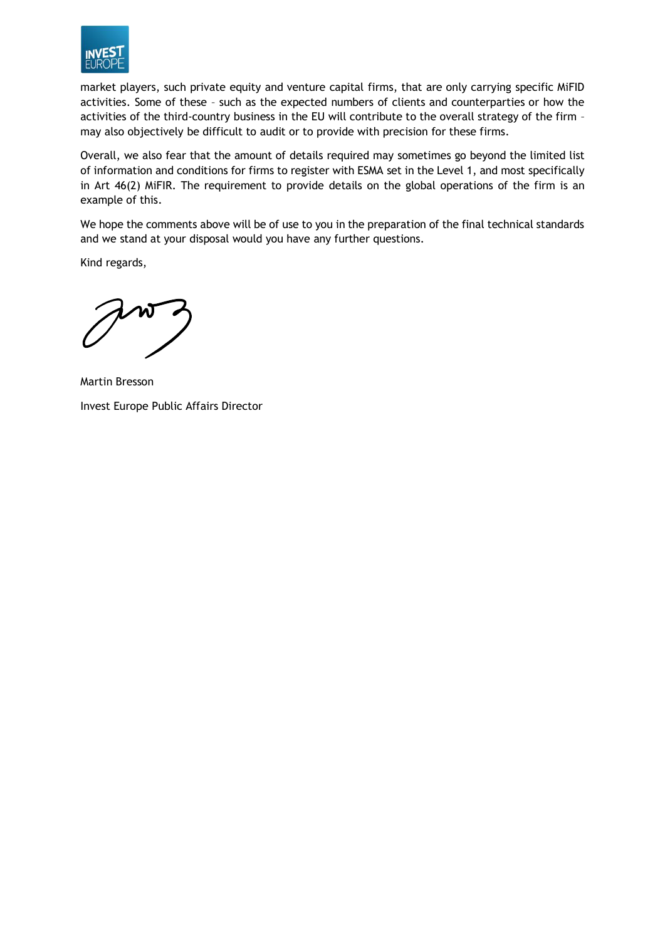

market players, such private equity and venture capital firms, that are only carrying specific MiFID activities. Some of these – such as the expected numbers of clients and counterparties or how the activities of the third-country business in the EU will contribute to the overall strategy of the firm – may also objectively be difficult to audit or to provide with precision for these firms.

Overall, we also fear that the amount of details required may sometimes go beyond the limited list of information and conditions for firms to register with ESMA set in the Level 1, and most specifically in Art 46(2) MiFIR. The requirement to provide details on the global operations of the firm is an example of this.

We hope the comments above will be of use to you in the preparation of the final technical standards and we stand at your disposal would you have any further questions.

Kind regards,

Martin Bresson Invest Europe Public Affairs Director